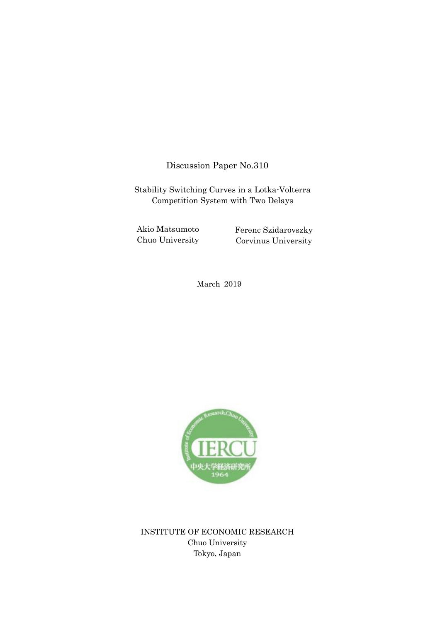Discussion Paper No.310

Stability Switching Curves in a Lotka-Volterra Competition System with Two Delays

Akio Matsumoto Chuo University

Ferenc Szidarovszky Corvinus University

March 2019



INSTITUTE OF ECONOMIC RESEARCH Chuo University Tokyo, Japan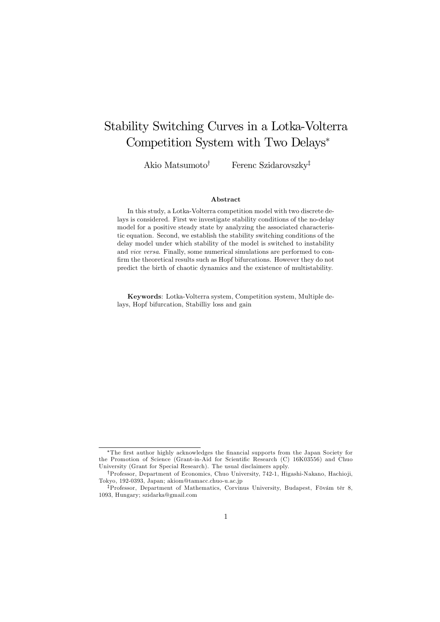# Stability Switching Curves in a Lotka-Volterra Competition System with Two Delays<sup>∗</sup>

Akio Matsumoto<sup>†</sup> Ferenc Szidarovszky<sup>‡</sup>

#### Abstract

In this study, a Lotka-Volterra competition model with two discrete delays is considered. First we investigate stability conditions of the no-delay model for a positive steady state by analyzing the associated characteristic equation. Second, we establish the stability switching conditions of the delay model under which stability of the model is switched to instability and vice versa. Finally, some numerical simulations are performed to confirm the theoretical results such as Hopf bifurcations. However they do not predict the birth of chaotic dynamics and the existence of multistability.

Keywords: Lotka-Volterra system, Competition system, Multiple delays, Hopf bifurcation, Stabilliy loss and gain

<sup>∗</sup>The first author highly acknowledges the financial supports from the Japan Society for the Promotion of Science (Grant-in-Aid for Scientific Research (C) 16K03556) and Chuo University (Grant for Special Research). The usual disclaimers apply.

<sup>†</sup>Professor, Department of Economics, Chuo University, 742-1, Higashi-Nakano, Hachio ji, Tokyo, 192-0393, Japan; akiom@tamacc.chuo-u.ac.jp

<sup>‡</sup>Professor, Department of Mathematics, Corvinus University, Budapest, Fövám tér 8, 1093, Hungary; szidarka@gmail.com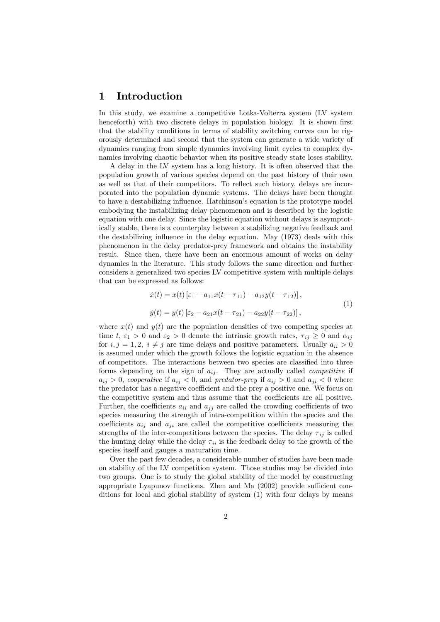## 1 Introduction

In this study, we examine a competitive Lotka-Volterra system (LV system henceforth) with two discrete delays in population biology. It is shown first that the stability conditions in terms of stability switching curves can be rigorously determined and second that the system can generate a wide variety of dynamics ranging from simple dynamics involving limit cycles to complex dynamics involving chaotic behavior when its positive steady state loses stability.

A delay in the LV system has a long history. It is often observed that the population growth of various species depend on the past history of their own as well as that of their competitors. To reflect such history, delays are incorporated into the population dynamic systems. The delays have been thought to have a destabilizing influence. Hatchinson's equation is the prototype model embodying the instabilizing delay phenomenon and is described by the logistic equation with one delay. Since the logistic equation without delays is asymptotically stable, there is a counterplay between a stabilizing negative feedback and the destabilizing influence in the delay equation. May (1973) deals with this phenomenon in the delay predator-prey framework and obtains the instability result. Since then, there have been an enormous amount of works on delay dynamics in the literature. This study follows the same direction and further considers a generalized two species LV competitive system with multiple delays that can be expressed as follows:

$$
\begin{aligned} \dot{x}(t) &= x(t) \left[ \varepsilon_1 - a_{11} x(t - \tau_{11}) - a_{12} y(t - \tau_{12}) \right], \\ \dot{y}(t) &= y(t) \left[ \varepsilon_2 - a_{21} x(t - \tau_{21}) - a_{22} y(t - \tau_{22}) \right], \end{aligned} \tag{1}
$$

where  $x(t)$  and  $y(t)$  are the population densities of two competing species at time t,  $\varepsilon_1 > 0$  and  $\varepsilon_2 > 0$  denote the intrinsic growth rates,  $\tau_{ii} \geq 0$  and  $\alpha_{ii}$ for  $i, j = 1, 2, i \neq j$  are time delays and positive parameters. Usually  $a_{ii} > 0$ is assumed under which the growth follows the logistic equation in the absence of competitors. The interactions between two species are classified into three forms depending on the sign of  $a_{ij}$ . They are actually called *competitive* if  $a_{ij} > 0$ , cooperative if  $a_{ij} < 0$ , and predator-prey if  $a_{ij} > 0$  and  $a_{ji} < 0$  where the predator has a negative coefficient and the prey a positive one. We focus on the competitive system and thus assume that the coefficients are all positive. Further, the coefficients  $a_{ii}$  and  $a_{jj}$  are called the crowding coefficients of two species measuring the strength of intra-competition within the species and the coefficients  $a_{ij}$  and  $a_{ji}$  are called the competitive coefficients measuring the strengths of the inter-competitions between the species. The delay  $\tau_{ij}$  is called the hunting delay while the delay  $\tau_{ii}$  is the feedback delay to the growth of the species itself and gauges a maturation time.

Over the past few decades, a considerable number of studies have been made on stability of the LV competition system. Those studies may be divided into two groups. One is to study the global stability of the model by constructing appropriate Lyapunov functions. Zhen and Ma (2002) provide sufficient conditions for local and global stability of system (1) with four delays by means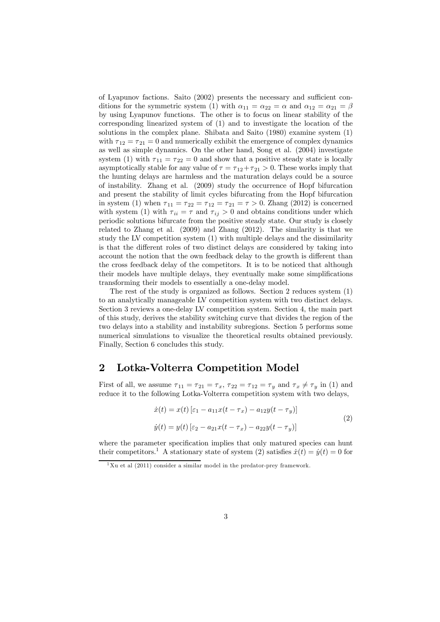of Lyapunov factions. Saito (2002) presents the necessary and sufficient conditions for the symmetric system (1) with  $\alpha_{11} = \alpha_{22} = \alpha$  and  $\alpha_{12} = \alpha_{21} = \beta$ by using Lyapunov functions. The other is to focus on linear stability of the corresponding linearized system of (1) and to investigate the location of the solutions in the complex plane. Shibata and Saito (1980) examine system (1) with  $\tau_{12} = \tau_{21} = 0$  and numerically exhibit the emergence of complex dynamics as well as simple dynamics. On the other hand, Song et al. (2004) investigate system (1) with  $\tau_{11} = \tau_{22} = 0$  and show that a positive steady state is locally asymptotically stable for any value of  $\tau = \tau_{12} + \tau_{21} > 0$ . These works imply that the hunting delays are harmless and the maturation delays could be a source of instability. Zhang et al. (2009) study the occurrence of Hopf bifurcation and present the stability of limit cycles bifurcating from the Hopf bifurcation in system (1) when  $\tau_{11} = \tau_{22} = \tau_{12} = \tau_{21} = \tau > 0$ . Zhang (2012) is concerned with system (1) with  $\tau_{ii} = \tau$  and  $\tau_{ij} > 0$  and obtains conditions under which periodic solutions bifurcate from the positive steady state. Our study is closely related to Zhang et al. (2009) and Zhang (2012). The similarity is that we study the LV competition system (1) with multiple delays and the dissimilarity is that the different roles of two distinct delays are considered by taking into account the notion that the own feedback delay to the growth is different than the cross feedback delay of the competitors. It is to be noticed that although their models have multiple delays, they eventually make some simplifications transforming their models to essentially a one-delay model.

The rest of the study is organized as follows. Section 2 reduces system (1) to an analytically manageable LV competition system with two distinct delays. Section 3 reviews a one-delay LV competition system. Section 4, the main part of this study, derives the stability switching curve that divides the region of the two delays into a stability and instability subregions. Section 5 performs some numerical simulations to visualize the theoretical results obtained previously. Finally, Section 6 concludes this study.

## 2 Lotka-Volterra Competition Model

First of all, we assume  $\tau_{11} = \tau_{21} = \tau_x$ ,  $\tau_{22} = \tau_{12} = \tau_y$  and  $\tau_x \neq \tau_y$  in (1) and reduce it to the following Lotka-Volterra competition system with two delays,

$$
\begin{aligned} \dot{x}(t) &= x(t) \left[ \varepsilon_1 - a_{11} x(t - \tau_x) - a_{12} y(t - \tau_y) \right] \\ \dot{y}(t) &= y(t) \left[ \varepsilon_2 - a_{21} x(t - \tau_x) - a_{22} y(t - \tau_y) \right] \end{aligned} \tag{2}
$$

where the parameter specification implies that only matured species can hunt their competitors.<sup>1</sup> A stationary state of system (2) satisfies  $\dot{x}(t) = \dot{y}(t) = 0$  for

 $1$ Xu et al (2011) consider a similar model in the predator-prey framework.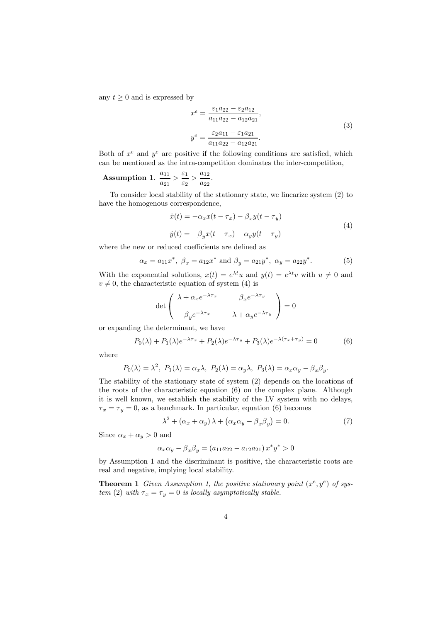any  $t \geq 0$  and is expressed by

$$
x^{e} = \frac{\varepsilon_{1} a_{22} - \varepsilon_{2} a_{12}}{a_{11} a_{22} - a_{12} a_{21}},
$$
  

$$
y^{e} = \frac{\varepsilon_{2} a_{11} - \varepsilon_{1} a_{21}}{a_{11} a_{22} - a_{12} a_{21}}.
$$
 (3)

Both of  $x^e$  and  $y^e$  are positive if the following conditions are satisfied, which can be mentioned as the intra-competition dominates the inter-competition,

**Assumption 1.** 
$$
\frac{a_{11}}{a_{21}} > \frac{\varepsilon_1}{\varepsilon_2} > \frac{a_{12}}{a_{22}}.
$$

To consider local stability of the stationary state, we linearize system (2) to have the homogenous correspondence,

$$
\begin{aligned} \dot{x}(t) &= -\alpha_x x(t - \tau_x) - \beta_x y(t - \tau_y) \\ \dot{y}(t) &= -\beta_y x(t - \tau_x) - \alpha_y y(t - \tau_y) \end{aligned} \tag{4}
$$

where the new or reduced coefficients are defined as

$$
\alpha_x = a_{11}x^*, \ \beta_x = a_{12}x^* \text{ and } \beta_y = a_{21}y^*, \ \alpha_y = a_{22}y^*.
$$
 (5)

With the exponential solutions,  $x(t) = e^{\lambda t}u$  and  $y(t) = e^{\lambda t}v$  with  $u \neq 0$  and  $v \neq 0$ , the characteristic equation of system (4) is

$$
\det \begin{pmatrix} \lambda + \alpha_x e^{-\lambda \tau_x} & \beta_x e^{-\lambda \tau_y} \\ \beta_y e^{-\lambda \tau_x} & \lambda + \alpha_y e^{-\lambda \tau_y} \end{pmatrix} = 0
$$

or expanding the determinant, we have

$$
P_0(\lambda) + P_1(\lambda)e^{-\lambda \tau_x} + P_2(\lambda)e^{-\lambda \tau_y} + P_3(\lambda)e^{-\lambda(\tau_x + \tau_y)} = 0
$$
\n(6)

where

$$
P_0(\lambda) = \lambda^2
$$
,  $P_1(\lambda) = \alpha_x \lambda$ ,  $P_2(\lambda) = \alpha_y \lambda$ ,  $P_3(\lambda) = \alpha_x \alpha_y - \beta_x \beta_y$ .

The stability of the stationary state of system (2) depends on the locations of the roots of the characteristic equation (6) on the complex plane. Although it is well known, we establish the stability of the LV system with no delays,  $\tau_x = \tau_y = 0$ , as a benchmark. In particular, equation (6) becomes

$$
\lambda^{2} + (\alpha_{x} + \alpha_{y})\lambda + (\alpha_{x}\alpha_{y} - \beta_{x}\beta_{y}) = 0.
$$
 (7)

Since  $\alpha_x + \alpha_y > 0$  and

$$
\alpha_x \alpha_y - \beta_x \beta_y = (a_{11}a_{22} - a_{12}a_{21}) x^* y^* > 0
$$

by Assumption 1 and the discriminant is positive, the characteristic roots are real and negative, implying local stability.

**Theorem 1** Given Assumption 1, the positive stationary point  $(x^e, y^e)$  of system (2) with  $\tau_x = \tau_y = 0$  is locally asymptotically stable.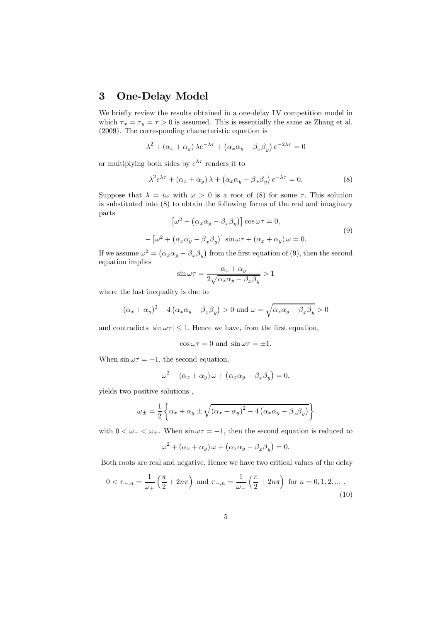## 3 One-Delay Model

We briefly review the results obtained in a one-delay LV competition model in which  $\tau_x = \tau_y = \tau > 0$  is assumed. This is essentially the same as Zhang et al. (2009). The corresponding characteristic equation is

$$
\lambda^{2} + (\alpha_{x} + \alpha_{y}) \lambda e^{-\lambda \tau} + (\alpha_{x} \alpha_{y} - \beta_{x} \beta_{y}) e^{-2\lambda \tau} = 0
$$

or multiplying both sides by  $e^{\lambda \tau}$  renders it to

$$
\lambda^2 e^{\lambda \tau} + (\alpha_x + \alpha_y) \lambda + (\alpha_x \alpha_y - \beta_x \beta_y) e^{-\lambda \tau} = 0.
$$
 (8)

Suppose that  $\lambda = i\omega$  with  $\omega > 0$  is a root of (8) for some  $\tau$ . This solution is substituted into (8) to obtain the following forms of the real and imaginary parts

$$
\left[\omega^2 - \left(\alpha_x \alpha_y - \beta_x \beta_y\right)\right] \cos \omega \tau = 0,
$$
  

$$
-\left[\omega^2 + \left(\alpha_x \alpha_y - \beta_x \beta_y\right)\right] \sin \omega \tau + \left(\alpha_x + \alpha_y\right) \omega = 0.
$$
 (9)

If we assume  $\omega^2 = (\alpha_x \alpha_y - \beta_x \beta_y)$  from the first equation of (9), then the second equation implies

$$
\sin \omega \tau = \frac{\alpha_x + \alpha_y}{2\sqrt{\alpha_x \alpha_y - \beta_x \beta_y}} > 1
$$

where the last inequality is due to

$$
(\alpha_x + \alpha_y)^2 - 4(\alpha_x \alpha_y - \beta_x \beta_y) > 0
$$
 and  $\omega = \sqrt{\alpha_x \alpha_y - \beta_x \beta_y} > 0$ 

and contradicts  $|\sin \omega \tau|$  < 1. Hence we have, from the first equation,

$$
\cos \omega \tau = 0
$$
 and  $\sin \omega \tau = \pm 1$ .

When  $\sin \omega \tau = +1$ , the second equation,

$$
\omega^{2} - (\alpha_{x} + \alpha_{y})\omega + (\alpha_{x}\alpha_{y} - \beta_{x}\beta_{y}) = 0,
$$

yields two positive solutions ,

$$
\omega_{\pm} = \frac{1}{2} \left\{ \alpha_x + \alpha_y \pm \sqrt{(\alpha_x + \alpha_y)^2 - 4\left(\alpha_x \alpha_y - \beta_x \beta_y\right)} \right\}
$$

with  $0 < \omega_{-} < \omega_{+}$ . When  $\sin \omega \tau = -1$ , then the second equation is reduced to

$$
\omega^2 + (\alpha_x + \alpha_y) \omega + (\alpha_x \alpha_y - \beta_x \beta_y) = 0.
$$

Both roots are real and negative. Hence we have two critical values of the delay

$$
0 < \tau_{+,n} = \frac{1}{\omega_+} \left( \frac{\pi}{2} + 2n\pi \right) \text{ and } \tau_{-,n} = \frac{1}{\omega_-} \left( \frac{\pi}{2} + 2n\pi \right) \text{ for } n = 0, 1, 2, \dots \, . \tag{10}
$$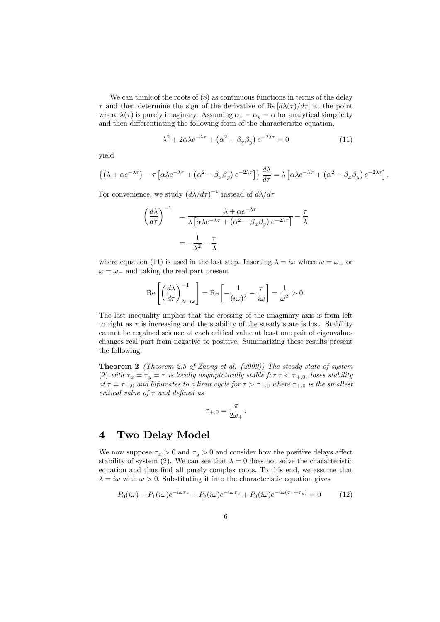We can think of the roots of  $(8)$  as continuous functions in terms of the delay  $\tau$  and then determine the sign of the derivative of Re  $\left[\frac{d\lambda(\tau)}{d\tau}\right]$  at the point where  $\lambda(\tau)$  is purely imaginary. Assuming  $\alpha_x = \alpha_y = \alpha$  for analytical simplicity and then differentiating the following form of the characteristic equation,

$$
\lambda^2 + 2\alpha\lambda e^{-\lambda\tau} + \left(\alpha^2 - \beta_x\beta_y\right)e^{-2\lambda\tau} = 0\tag{11}
$$

yield

$$
\left\{ \left( \lambda + \alpha e^{-\lambda \tau} \right) - \tau \left[ \alpha \lambda e^{-\lambda \tau} + \left( \alpha^2 - \beta_x \beta_y \right) e^{-2\lambda \tau} \right] \right\} \frac{d\lambda}{d\tau} = \lambda \left[ \alpha \lambda e^{-\lambda \tau} + \left( \alpha^2 - \beta_x \beta_y \right) e^{-2\lambda \tau} \right].
$$

For convenience, we study  $(d\lambda/d\tau)^{-1}$  instead of  $d\lambda/d\tau$ 

$$
\left(\frac{d\lambda}{d\tau}\right)^{-1} = \frac{\lambda + \alpha e^{-\lambda \tau}}{\lambda \left[\alpha \lambda e^{-\lambda \tau} + \left(\alpha^2 - \beta_x \beta_y\right) e^{-2\lambda \tau}\right]} - \frac{\tau}{\lambda}
$$

$$
= -\frac{1}{\lambda^2} - \frac{\tau}{\lambda}
$$

where equation (11) is used in the last step. Inserting  $\lambda = i\omega$  where  $\omega = \omega_+$  or  $\omega = \omega_-$  and taking the real part present

$$
\operatorname{Re}\left[\left(\frac{d\lambda}{d\tau}\right)_{\lambda=i\omega}^{-1}\right] = \operatorname{Re}\left[-\frac{1}{(i\omega)^2} - \frac{\tau}{i\omega}\right] = \frac{1}{\omega^2} > 0.
$$

The last inequality implies that the crossing of the imaginary axis is from left to right as  $\tau$  is increasing and the stability of the steady state is lost. Stability cannot be regained science at each critical value at least one pair of eigenvalues changes real part from negative to positive. Summarizing these results present the following.

Theorem 2 (Theorem 2.5 of Zhang et al. (2009)) The steady state of system (2) with  $\tau_x = \tau_y = \tau$  is locally asymptotically stable for  $\tau < \tau_{+,0}$ , loses stability at  $\tau = \tau_{+,0}$  and bifurcates to a limit cycle for  $\tau > \tau_{+,0}$  where  $\tau_{+,0}$  is the smallest critical value of  $\tau$  and defined as

$$
\tau_{+,0} = \frac{\pi}{2\omega_+}.
$$

## 4 Two Delay Model

We now suppose  $\tau_x > 0$  and  $\tau_y > 0$  and consider how the positive delays affect stability of system (2). We can see that  $\lambda = 0$  does not solve the characteristic equation and thus find all purely complex roots. To this end, we assume that  $\lambda = i\omega$  with  $\omega > 0$ . Substituting it into the characteristic equation gives

$$
P_0(i\omega) + P_1(i\omega)e^{-i\omega\tau_x} + P_2(i\omega)e^{-i\omega\tau_y} + P_3(i\omega)e^{-i\omega(\tau_x + \tau_y)} = 0 \tag{12}
$$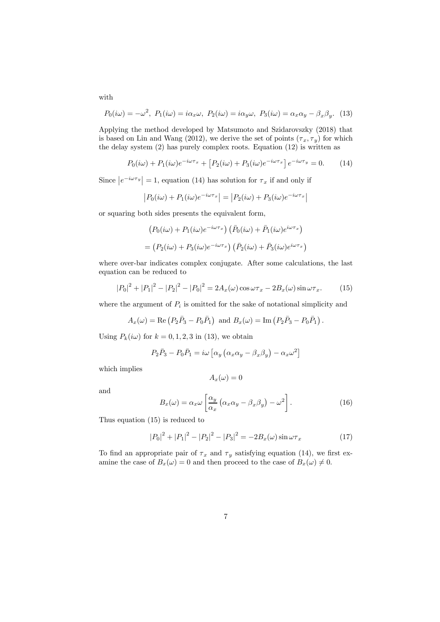$$
P_0(i\omega) = -\omega^2, P_1(i\omega) = i\alpha_x \omega, P_2(i\omega) = i\alpha_y \omega, P_3(i\omega) = \alpha_x \alpha_y - \beta_x \beta_y.
$$
 (13)

Applying the method developed by Matsumoto and Szidarovszky (2018) that is based on Lin and Wang (2012), we derive the set of points  $(\tau_x, \tau_y)$  for which the delay system (2) has purely complex roots. Equation (12) is written as

$$
P_0(i\omega) + P_1(i\omega)e^{-i\omega\tau_x} + \left[P_2(i\omega) + P_3(i\omega)e^{-i\omega\tau_x}\right]e^{-i\omega\tau_y} = 0.
$$
 (14)

Since  $|e^{-i\omega \tau_y}| = 1$ , equation (14) has solution for  $\tau_x$  if and only if

$$
|P_0(i\omega) + P_1(i\omega)e^{-i\omega\tau_x}| = |P_2(i\omega) + P_3(i\omega)e^{-i\omega\tau_x}|
$$

or squaring both sides presents the equivalent form,

$$
(P_0(i\omega) + P_1(i\omega)e^{-i\omega\tau_x}) (\bar{P}_0(i\omega) + \bar{P}_1(i\omega)e^{i\omega\tau_x})
$$
  
= 
$$
(P_2(i\omega) + P_3(i\omega)e^{-i\omega\tau_x}) (\bar{P}_2(i\omega) + \bar{P}_3(i\omega)e^{i\omega\tau_x})
$$

where over-bar indicates complex conjugate. After some calculations, the last equation can be reduced to

$$
|P_0|^2 + |P_1|^2 - |P_2|^2 - |P_0|^2 = 2A_x(\omega)\cos\omega\tau_x - 2B_x(\omega)\sin\omega\tau_x.
$$
 (15)

where the argument of  $P_i$  is omitted for the sake of notational simplicity and

$$
A_x(\omega) = \text{Re}(P_2\bar{P}_3 - P_0\bar{P}_1) \text{ and } B_x(\omega) = \text{Im}(P_2\bar{P}_3 - P_0\bar{P}_1).
$$

Using  $P_k(i\omega)$  for  $k = 0, 1, 2, 3$  in (13), we obtain

$$
P_2\bar{P}_3 - P_0\bar{P}_1 = i\omega \left[ \alpha_y \left( \alpha_x \alpha_y - \beta_x \beta_y \right) - \alpha_x \omega^2 \right]
$$

which implies

$$
A_x(\omega) = 0
$$

and

$$
B_x(\omega) = \alpha_x \omega \left[ \frac{\alpha_y}{\alpha_x} \left( \alpha_x \alpha_y - \beta_x \beta_y \right) - \omega^2 \right]. \tag{16}
$$

Thus equation (15) is reduced to

$$
|P_0|^2 + |P_1|^2 - |P_2|^2 - |P_3|^2 = -2B_x(\omega)\sin\omega\tau_x \tag{17}
$$

To find an appropriate pair of  $\tau_x$  and  $\tau_y$  satisfying equation (14), we first examine the case of  $B_x(\omega)=0$  and then proceed to the case of  $B_x(\omega)\neq 0$ .

with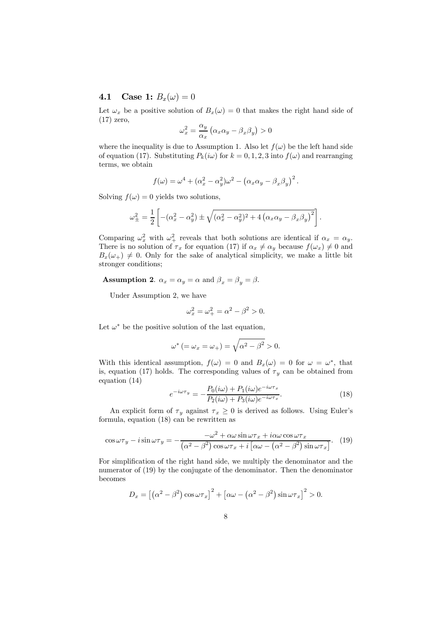## **4.1** Case 1:  $B_x(\omega) = 0$

Let  $\omega_x$  be a positive solution of  $B_x(\omega)=0$  that makes the right hand side of (17) zero,

$$
\omega_x^2 = \frac{\alpha_y}{\alpha_x} \left( \alpha_x \alpha_y - \beta_x \beta_y \right) > 0
$$

where the inequality is due to Assumption 1. Also let  $f(\omega)$  be the left hand side of equation (17). Substituting  $P_k(i\omega)$  for  $k = 0, 1, 2, 3$  into  $f(\omega)$  and rearranging terms, we obtain

$$
f(\omega) = \omega^4 + (\alpha_x^2 - \alpha_y^2)\omega^2 - (\alpha_x\alpha_y - \beta_x\beta_y)^2.
$$

Solving  $f(\omega)=0$  yields two solutions,

$$
\omega_{\pm}^2 = \frac{1}{2} \left[ -(\alpha_x^2 - \alpha_y^2) \pm \sqrt{(\alpha_x^2 - \alpha_y^2)^2 + 4(\alpha_x \alpha_y - \beta_x \beta_y)^2} \right].
$$

Comparing  $\omega_x^2$  with  $\omega_+^2$  reveals that both solutions are identical if  $\alpha_x = \alpha_y$ . There is no solution of  $\tau_x$  for equation (17) if  $\alpha_x \neq \alpha_y$  because  $f(\omega_x) \neq 0$  and  $B_x(\omega_+) \neq 0$ . Only for the sake of analytical simplicity, we make a little bit stronger conditions;

**Assumption 2.**  $\alpha_x = \alpha_y = \alpha$  and  $\beta_x = \beta_y = \beta$ .

Under Assumption 2, we have

$$
\omega_x^2 = \omega_+^2 = \alpha^2 - \beta^2 > 0.
$$

Let  $\omega^*$  be the positive solution of the last equation,

$$
\omega^* \left(=\omega_x=\omega_+\right)=\sqrt{\alpha^2-\beta^2}>0.
$$

With this identical assumption,  $f(\omega)=0$  and  $B_x(\omega)=0$  for  $\omega=\omega^*$ , that is, equation (17) holds. The corresponding values of  $\tau_y$  can be obtained from equation (14)

$$
e^{-i\omega\tau_y} = -\frac{P_0(i\omega) + P_1(i\omega)e^{-i\omega\tau_x}}{P_2(i\omega) + P_3(i\omega)e^{-i\omega\tau_x}}.
$$
\n(18)

An explicit form of  $\tau_y$  against  $\tau_x \geq 0$  is derived as follows. Using Euler's formula, equation (18) can be rewritten as

$$
\cos \omega \tau_y - i \sin \omega \tau_y = -\frac{-\omega^2 + \alpha \omega \sin \omega \tau_x + i \alpha \omega \cos \omega \tau_x}{(\alpha^2 - \beta^2) \cos \omega \tau_x + i \left[\alpha \omega - (\alpha^2 - \beta^2) \sin \omega \tau_x\right]}.
$$
 (19)

For simplification of the right hand side, we multiply the denominator and the numerator of (19) by the conjugate of the denominator. Then the denominator becomes

$$
D_x = \left[ \left( \alpha^2 - \beta^2 \right) \cos \omega \tau_x \right]^2 + \left[ \alpha \omega - \left( \alpha^2 - \beta^2 \right) \sin \omega \tau_x \right]^2 > 0.
$$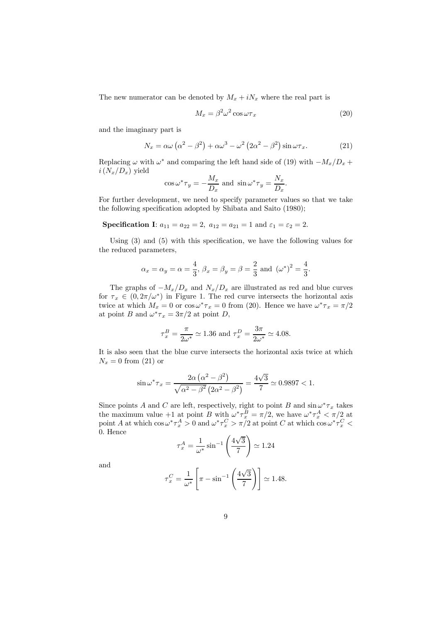The new numerator can be denoted by  $M_x + iN_x$  where the real part is

$$
M_x = \beta^2 \omega^2 \cos \omega \tau_x \tag{20}
$$

and the imaginary part is

$$
N_x = \alpha \omega \left( \alpha^2 - \beta^2 \right) + \alpha \omega^3 - \omega^2 \left( 2\alpha^2 - \beta^2 \right) \sin \omega \tau_x. \tag{21}
$$

Replacing  $\omega$  with  $\omega^*$  and comparing the left hand side of (19) with  $-M_x/D_x +$  $i(N_x/D_x)$  yield

$$
\cos \omega^* \tau_y = -\frac{M_x}{D_x}
$$
 and  $\sin \omega^* \tau_y = \frac{N_x}{D_x}$ .

For further development, we need to specify parameter values so that we take the following specification adopted by Shibata and Saito (1980);

**Specification I:** 
$$
a_{11} = a_{22} = 2
$$
,  $a_{12} = a_{21} = 1$  and  $\varepsilon_1 = \varepsilon_2 = 2$ .

Using (3) and (5) with this specification, we have the following values for the reduced parameters,

$$
\alpha_x = \alpha_y = \alpha = \frac{4}{3}, \ \beta_x = \beta_y = \beta = \frac{2}{3} \text{ and } (\omega^*)^2 = \frac{4}{3}.
$$

The graphs of  $-M_x/D_x$  and  $N_x/D_x$  are illustrated as red and blue curves for  $\tau_x \in (0, 2\pi/\omega^*)$  in Figure 1. The red curve intersects the horizontal axis twice at which  $M_x = 0$  or  $\cos \omega^* \tau_x = 0$  from (20). Hence we have  $\omega^* \tau_x = \pi/2$ at point B and  $\omega^* \tau_x = 3\pi/2$  at point D,

$$
\tau_x^B = \frac{\pi}{2\omega^*} \simeq 1.36
$$
 and 
$$
\tau_x^D = \frac{3\pi}{2\omega^*} \simeq 4.08.
$$

It is also seen that the blue curve intersects the horizontal axis twice at which  $N_x = 0$  from (21) or

$$
\sin \omega^* \tau_x = \frac{2\alpha (\alpha^2 - \beta^2)}{\sqrt{\alpha^2 - \beta^2 (2\alpha^2 - \beta^2)}} = \frac{4\sqrt{3}}{7} \approx 0.9897 < 1.
$$

Since points A and C are left, respectively, right to point B and  $\sin \omega^* \tau_x$  takes the maximum value +1 at point B with  $\omega^* \tau_x^B = \pi/2$ , we have  $\omega^* \tau_x^A < \pi/2$  at point A at which  $\cos \omega^* \tau_x^A > 0$  and  $\omega^* \tau_x^C > \pi/2$  at point C at which  $\cos \omega^* \tau_x^C <$ 0. Hence

$$
\tau_x^A = \frac{1}{\omega^*} \sin^{-1} \left( \frac{4\sqrt{3}}{7} \right) \simeq 1.24
$$

and

$$
\tau_x^C = \frac{1}{\omega^*} \left[ \pi - \sin^{-1} \left( \frac{4\sqrt{3}}{7} \right) \right] \simeq 1.48.
$$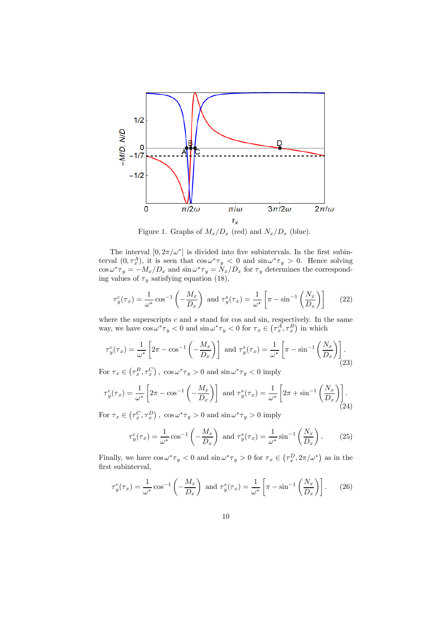

Figure 1. Graphs of  $M_x/D_x$  (red) and  $N_x/D_x$  (blue).

The interval  $[0, 2\pi/\omega^*]$  is divided into five subintervals. In the first subinterval  $(0, \tau_x^A)$ , it is seen that  $\cos \omega^* \tau_y < 0$  and  $\sin \omega^* \tau_y > 0$ . Hence solving  $\cos \omega^* \tau_y = -M_x/D_x$  and  $\sin \omega^* \tau_y = N_x/D_x$  for  $\tau_y$  determines the corresponding values of  $\tau_y$  satisfying equation (18),

$$
\tau_y^c(\tau_x) = \frac{1}{\omega^*} \cos^{-1} \left( -\frac{M_x}{D_x} \right) \text{ and } \tau_y^s(\tau_x) = \frac{1}{\omega^*} \left[ \pi - \sin^{-1} \left( \frac{N_x}{D_x} \right) \right] \tag{22}
$$

where the superscripts  $c$  and  $s$  stand for cos and sin, respectively. In the same way, we have  $\cos \omega^* \tau_y < 0$  and  $\sin \omega^* \tau_y < 0$  for  $\tau_x \in (\tau_x^A, \tau_x^B)$  in which

$$
\tau_y^c(\tau_x) = \frac{1}{\omega^*} \left[ 2\pi - \cos^{-1} \left( -\frac{M_x}{D_x} \right) \right] \text{ and } \tau_y^s(\tau_x) = \frac{1}{\omega^*} \left[ \pi - \sin^{-1} \left( \frac{N_x}{D_x} \right) \right]. \tag{23}
$$

For  $\tau_x \in (\tau_x^B, \tau_x^C)$ ,  $\cos \omega^* \tau_y > 0$  and  $\sin \omega^* \tau_y < 0$  imply

$$
\tau_y^c(\tau_x) = \frac{1}{\omega^*} \left[ 2\pi - \cos^{-1} \left( -\frac{M_x}{D_x} \right) \right] \text{ and } \tau_y^s(\tau_x) = \frac{1}{\omega^*} \left[ 2\pi + \sin^{-1} \left( \frac{N_x}{D_x} \right) \right].
$$
\n(24)

For  $\tau_x \in (\tau_x^C, \tau_x^D)$ ,  $\cos \omega^* \tau_y > 0$  and  $\sin \omega^* \tau_y > 0$  imply

$$
\tau_y^c(\tau_x) = \frac{1}{\omega^*} \cos^{-1} \left( -\frac{M_x}{D_x} \right) \text{ and } \tau_y^s(\tau_x) = \frac{1}{\omega^*} \sin^{-1} \left( \frac{N_x}{D_x} \right). \tag{25}
$$

Finally, we have  $\cos \omega^* \tau_y < 0$  and  $\sin \omega^* \tau_y > 0$  for  $\tau_x \in (\tau_x^D, 2\pi/\omega^*)$  as in the first subinterval,

$$
\tau_y^c(\tau_x) = \frac{1}{\omega^*} \cos^{-1} \left( -\frac{M_x}{D_x} \right) \text{ and } \tau_y^s(\tau_x) = \frac{1}{\omega^*} \left[ \pi - \sin^{-1} \left( \frac{N_x}{D_x} \right) \right]. \tag{26}
$$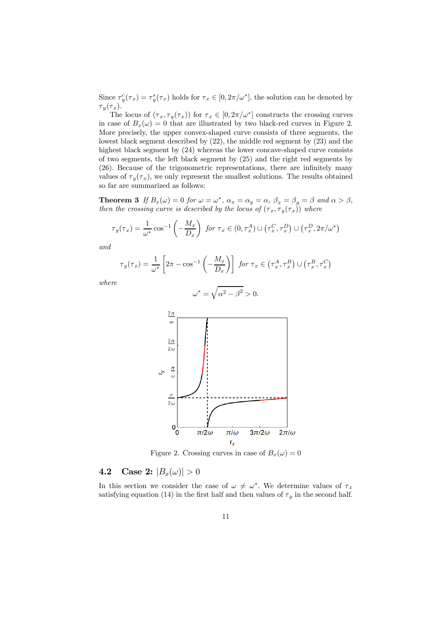Since  $\tau_y^c(\tau_x) = \tau_y^s(\tau_x)$  holds for  $\tau_x \in [0, 2\pi/\omega^*]$ , the solution can be denoted by  $\tau_y(\tau_x)$ .

The locus of  $(\tau_x, \tau_y(\tau_x))$  for  $\tau_x \in [0, 2\pi/\omega^*]$  constructs the crossing curves in case of  $B_x(\omega)=0$  that are illustrated by two black-red curves in Figure 2. More precisely, the upper convex-shaped curve consists of three segments, the lowest black segment described by (22), the middle red segment by (23) and the highest black segment by (24) whereas the lower concave-shaped curve consists of two segments, the left black segment by (25) and the right red segments by (26). Because of the trigonometric representations, there are infinitely many values of  $\tau_y(\tau_x)$ , we only represent the smallest solutions. The results obtained so far are summarized as follows:

**Theorem 3** If  $B_x(\omega) = 0$  for  $\omega = \omega^*$ ,  $\alpha_x = \alpha_y = \alpha$ ,  $\beta_x = \beta_y = \beta$  and  $\alpha > \beta$ , then the crossing curve is described by the locus of  $(\tau_x, \tau_y(\tau_x))$  where

$$
\tau_y(\tau_x) = \frac{1}{\omega^*} \cos^{-1} \left( -\frac{M_x}{D_x} \right) \text{ for } \tau_x \in (0, \tau_x^A) \cup \left( \tau_x^C, \tau_x^D \right) \cup \left( \tau_x^D, 2\pi/\omega^* \right)
$$

and

$$
\tau_y(\tau_x) = \frac{1}{\omega^*} \left[ 2\pi - \cos^{-1} \left( -\frac{M_x}{D_x} \right) \right] \text{ for } \tau_x \in \left( \tau_x^A, \tau_x^B \right) \cup \left( \tau_x^B, \tau_x^C \right)
$$

where

$$
\omega^* = \sqrt{\alpha^2 - \beta^2} > 0.
$$
\n
$$
\frac{2\pi}{\omega}
$$
\n
$$
\frac{3\pi}{2\omega}
$$
\n
$$
\frac{\pi}{2\omega}
$$
\n
$$
\frac{\pi}{2\omega}
$$
\n0\n
$$
\frac{\pi}{2\omega}
$$
\n
$$
\frac{1}{\pi/2\omega - \pi/\omega} \frac{3\pi}{2\omega - 2\pi/\omega}
$$
\n
$$
\frac{1}{\tau_x}
$$

Figure 2. Crossing curves in case of  $B_x(\omega)=0$ 

## 4.2 Case 2:  $|B_x(\omega)| > 0$

In this section we consider the case of  $\omega \neq \omega^*$ . We determine values of  $\tau_x$ satisfying equation (14) in the first half and then values of  $\tau_y$  in the second half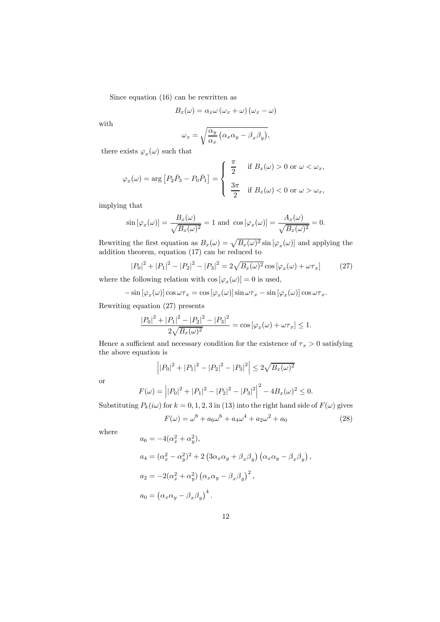Since equation (16) can be rewritten as

$$
B_x(\omega) = \alpha_x \omega (\omega_x + \omega) (\omega_x - \omega)
$$

with

$$
\omega_x = \sqrt{\frac{\alpha_y}{\alpha_x} \left( \alpha_x \alpha_y - \beta_x \beta_y \right)},
$$

there exists  $\varphi_x(\omega)$  such that

$$
\varphi_x(\omega) = \arg \left[ P_2 \bar{P}_3 - P_0 \bar{P}_1 \right] = \begin{cases} \frac{\pi}{2} & \text{if } B_x(\omega) > 0 \text{ or } \omega < \omega_x, \\ \frac{3\pi}{2} & \text{if } B_x(\omega) < 0 \text{ or } \omega > \omega_x, \end{cases}
$$

implying that

$$
\sin\left[\varphi_x(\omega)\right] = \frac{B_x(\omega)}{\sqrt{B_x(\omega)^2}} = 1 \text{ and } \cos\left[\varphi_x(\omega)\right] = \frac{A_x(\omega)}{\sqrt{B_x(\omega)^2}} = 0.
$$

Rewriting the first equation as  $B_x(\omega) = \sqrt{B_x(\omega)^2} \sin{\left[\varphi_x(\omega)\right]}$  and applying the addition theorem, equation (17) can be reduced to

$$
|P_0|^2 + |P_1|^2 - |P_2|^2 - |P_3|^2 = 2\sqrt{B_x(\omega)^2} \cos[\varphi_x(\omega) + \omega \tau_x]
$$
 (27)

where the following relation with  $\cos [\varphi_x(\omega)] = 0$  is used,

$$
-\sin\left[\varphi_x(\omega)\right]\cos\omega\tau_x=\cos\left[\varphi_x(\omega)\right]\sin\omega\tau_x-\sin\left[\varphi_x(\omega)\right]\cos\omega\tau_x.
$$

Rewriting equation (27) presents

$$
\frac{|P_0|^2 + |P_1|^2 - |P_2|^2 - |P_3|^2}{2\sqrt{B_x(\omega)^2}} = \cos\left[\varphi_x(\omega) + \omega\tau_x\right] \le 1.
$$

Hence a sufficient and necessary condition for the existence of  $\tau_x > 0$  satisfying the above equation is

$$
\left| |P_0|^2 + |P_1|^2 - |P_2|^2 - |P_3|^2 \right| \le 2\sqrt{B_x(\omega)^2}
$$

or

$$
F(\omega) = | |P_0|^2 + |P_1|^2 - |P_2|^2 - |P_3|^2 | \bigg|^2 - 4B_x(\omega)^2 \le 0.
$$

Substituting  $P_k(i\omega)$  for  $k = 0, 1, 2, 3$  in (13) into the right hand side of  $F(\omega)$  gives

$$
F(\omega) = \omega^8 + a_6 \omega^6 + a_4 \omega^4 + a_2 \omega^2 + a_0 \tag{28}
$$

where

$$
a_6 = -4(\alpha_x^2 + \alpha_y^2),
$$
  
\n
$$
a_4 = (\alpha_x^2 - \alpha_y^2)^2 + 2(3\alpha_x\alpha_y + \beta_x\beta_y)(\alpha_x\alpha_y - \beta_x\beta_y),
$$
  
\n
$$
a_2 = -2(\alpha_x^2 + \alpha_y^2)(\alpha_x\alpha_y - \beta_x\beta_y)^2,
$$
  
\n
$$
a_0 = (\alpha_x\alpha_y - \beta_x\beta_y)^4.
$$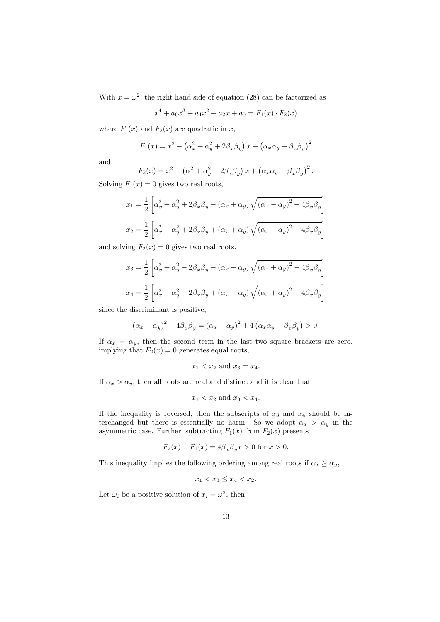With  $x = \omega^2$ , the right hand side of equation (28) can be factorized as

$$
x^{4} + a_{6}x^{3} + a_{4}x^{2} + a_{2}x + a_{0} = F_{1}(x) \cdot F_{2}(x)
$$

where  $F_1(x)$  and  $F_2(x)$  are quadratic in x,

$$
F_1(x) = x^2 - \left(\alpha_x^2 + \alpha_y^2 + 2\beta_x\beta_y\right)x + \left(\alpha_x\alpha_y - \beta_x\beta_y\right)^2
$$

and

$$
F_2(x) = x^2 - \left(\alpha_x^2 + \alpha_y^2 - 2\beta_x \beta_y\right)x + \left(\alpha_x \alpha_y - \beta_x \beta_y\right)^2.
$$

Solving  $F_1(x)=0$  gives two real roots,

$$
x_1 = \frac{1}{2} \left[ \alpha_x^2 + \alpha_y^2 + 2\beta_x \beta_y - (\alpha_x + \alpha_y) \sqrt{(\alpha_x - \alpha_y)^2 + 4\beta_x \beta_y} \right]
$$
  

$$
x_2 = \frac{1}{2} \left[ \alpha_x^2 + \alpha_y^2 + 2\beta_x \beta_y + (\alpha_x + \alpha_y) \sqrt{(\alpha_x - \alpha_y)^2 + 4\beta_x \beta_y} \right]
$$

and solving  $F_2(x)=0$  gives two real roots,

$$
x_3 = \frac{1}{2} \left[ \alpha_x^2 + \alpha_y^2 - 2\beta_x \beta_y - (\alpha_x - \alpha_y) \sqrt{(\alpha_x + \alpha_y)^2 - 4\beta_x \beta_y} \right]
$$
  

$$
x_4 = \frac{1}{2} \left[ \alpha_x^2 + \alpha_y^2 - 2\beta_x \beta_y + (\alpha_x - \alpha_y) \sqrt{(\alpha_x + \alpha_y)^2 - 4\beta_x \beta_y} \right]
$$

since the discriminant is positive,

$$
(\alpha_x + \alpha_y)^2 - 4\beta_x \beta_y = (\alpha_x - \alpha_y)^2 + 4(\alpha_x \alpha_y - \beta_x \beta_y) > 0.
$$

If  $\alpha_x = \alpha_y$ , then the second term in the last two square brackets are zero, implying that  $F_2(x)=0$  generates equal roots,

$$
x_1 < x_2
$$
 and  $x_3 = x_4$ .

If  $\alpha_x > \alpha_y$ , then all roots are real and distinct and it is clear that

$$
x_1 < x_2
$$
 and  $x_3 < x_4$ .

If the inequality is reversed, then the subscripts of  $x_3$  and  $x_4$  should be interchanged but there is essentially no harm. So we adopt  $\alpha_x > \alpha_y$  in the asymmetric case. Further, subtracting  $F_1(x)$  from  $F_2(x)$  presents

$$
F_2(x) - F_1(x) = 4\beta_x \beta_y x > 0
$$
 for  $x > 0$ .

This inequality implies the following ordering among real roots if  $\alpha_x \ge \alpha_y$ ,

$$
x_1 < x_3 \le x_4 < x_2.
$$

Let  $\omega_i$  be a positive solution of  $x_i = \omega^2$ , then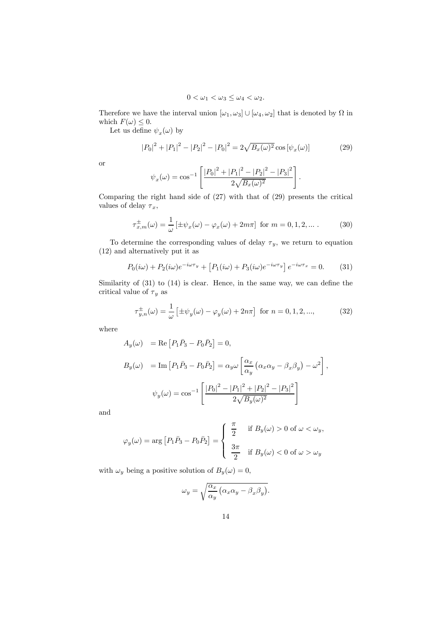$$
0<\omega_1<\omega_3\leq \omega_4<\omega_2.
$$

Therefore we have the interval union  $[\omega_1, \omega_3] \cup [\omega_4, \omega_2]$  that is denoted by  $\Omega$  in which  $F(\omega) \leq 0$ .

Let us define  $\psi_x(\omega)$  by

$$
|P_0|^2 + |P_1|^2 - |P_2|^2 - |P_0|^2 = 2\sqrt{B_x(\omega)^2} \cos[\psi_x(\omega)] \tag{29}
$$

or

$$
\psi_x(\omega) = \cos^{-1}\left[\frac{|P_0|^2 + |P_1|^2 - |P_2|^2 - |P_3|^2}{2\sqrt{B_x(\omega)^2}}\right].
$$

Comparing the right hand side of (27) with that of (29) presents the critical values of delay  $\tau_x$ ,

$$
\tau_{x,m}^{\pm}(\omega) = \frac{1}{\omega} \left[ \pm \psi_x(\omega) - \varphi_x(\omega) + 2m\pi \right] \text{ for } m = 0, 1, 2, \dots \,. \tag{30}
$$

To determine the corresponding values of delay  $\tau_y$ , we return to equation (12) and alternatively put it as

$$
P_0(i\omega) + P_2(i\omega)e^{-i\omega\tau_y} + [P_1(i\omega) + P_3(i\omega)e^{-i\omega\tau_y}]e^{-i\omega\tau_x} = 0.
$$
 (31)

Similarity of (31) to (14) is clear. Hence, in the same way, we can define the critical value of  $\tau_y$  as

$$
\tau_{y,n}^{\pm}(\omega) = \frac{1}{\omega} \left[ \pm \psi_y(\omega) - \varphi_y(\omega) + 2n\pi \right] \text{ for } n = 0, 1, 2, \dots,
$$
 (32)

where

$$
A_y(\omega) = \text{Re}\left[P_1\bar{P}_3 - P_0\bar{P}_2\right] = 0,
$$
  
\n
$$
B_y(\omega) = \text{Im}\left[P_1\bar{P}_3 - P_0\bar{P}_2\right] = \alpha_y\omega\left[\frac{\alpha_x}{\alpha_y}\left(\alpha_x\alpha_y - \beta_x\beta_y\right) - \omega^2\right],
$$
  
\n
$$
\psi_y(\omega) = \cos^{-1}\left[\frac{|P_0|^2 - |P_1|^2 + |P_2|^2 - |P_3|^2}{2\sqrt{B_y(\omega)^2}}\right]
$$

and

$$
\varphi_y(\omega) = \arg \left[ P_1 \bar{P}_3 - P_0 \bar{P}_2 \right] = \begin{cases} \frac{\pi}{2} & \text{if } B_y(\omega) > 0 \text{ of } \omega < \omega_y, \\ \frac{3\pi}{2} & \text{if } B_y(\omega) < 0 \text{ of } \omega > \omega_y \end{cases}
$$

with  $\omega_y$  being a positive solution of  $B_y(\omega)=0$ ,

$$
\omega_y = \sqrt{\frac{\alpha_x}{\alpha_y} \left( \alpha_x \alpha_y - \beta_x \beta_y \right)}.
$$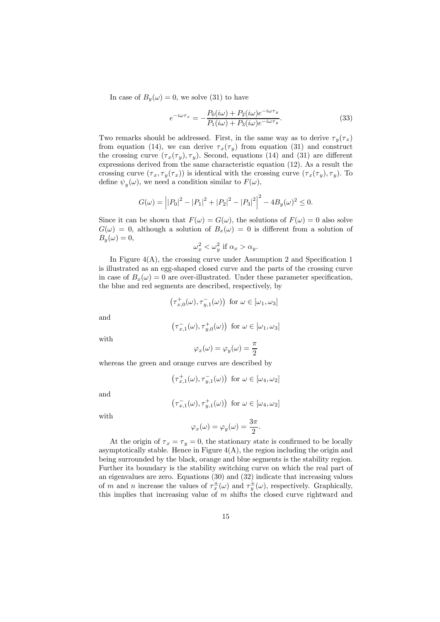In case of  $B_y(\omega)=0$ , we solve (31) to have

$$
e^{-i\omega\tau_x} = -\frac{P_0(i\omega) + P_2(i\omega)e^{-i\omega\tau_y}}{P_1(i\omega) + P_3(i\omega)e^{-i\omega\tau_y}}.
$$
\n(33)

Two remarks should be addressed. First, in the same way as to derive  $\tau_y(\tau_x)$ from equation (14), we can derive  $\tau_x(\tau_y)$  from equation (31) and construct the crossing curve  $(\tau_x(\tau_y), \tau_y)$ . Second, equations (14) and (31) are different expressions derived from the same characteristic equation (12). As a result the crossing curve  $(\tau_x, \tau_y(\tau_x))$  is identical with the crossing curve  $(\tau_x(\tau_y), \tau_y)$ . To define  $\psi_y(\omega)$ , we need a condition similar to  $F(\omega)$ ,

$$
G(\omega) = |P_0|^2 - |P_1|^2 + |P_2|^2 - |P_3|^2 - 4B_y(\omega)^2 \le 0.
$$

Since it can be shown that  $F(\omega) = G(\omega)$ , the solutions of  $F(\omega) = 0$  also solve  $G(\omega)=0$ , although a solution of  $B_x(\omega)=0$  is different from a solution of  $B_y(\omega)=0,$ 

$$
\omega_x^2 < \omega_y^2 \text{ if } \alpha_x > \alpha_y.
$$

In Figure  $4(A)$ , the crossing curve under Assumption 2 and Specification 1 is illustrated as an egg-shaped closed curve and the parts of the crossing curve in case of  $B_x(\omega)=0$  are over-illustrated. Under these parameter specification, the blue and red segments are described, respectively, by

$$
\left(\tau_{x,0}^{+}(\omega),\tau_{y,1}^{-}(\omega)\right)\text{ for }\omega\in[\omega_1,\omega_3]
$$

and

$$
\left(\tau_{x,1}^-(\omega),\tau_{y,0}^+(\omega)\right)\text{ for }\omega\in[\omega_1,\omega_3]
$$

with

$$
\varphi_x(\omega)=\varphi_y(\omega)=\frac{\pi}{2}
$$

whereas the green and orange curves are described by

$$
\left(\tau_{x,1}^+(\omega),\tau_{y,1}^-(\omega)\right) \text{ for } \omega \in [\omega_4,\omega_2]
$$

and

$$
\left(\tau_{x,1}^-(\omega),\tau_{y,1}^+(\omega)\right)\text{ for }\omega\in[\omega_4,\omega_2]
$$

with

$$
\varphi_x(\omega) = \varphi_y(\omega) = \frac{3\pi}{2}.
$$

At the origin of  $\tau_x = \tau_y = 0$ , the stationary state is confirmed to be locally asymptotically stable. Hence in Figure  $4(A)$ , the region including the origin and being surrounded by the black, orange and blue segments is the stability region. Further its boundary is the stability switching curve on which the real part of an eigenvalues are zero. Equations (30) and (32) indicate that increasing values of m and n increase the values of  $\tau_x^{\pm}(\omega)$  and  $\tau_y^{\pm}(\omega)$ , respectively. Graphically, this implies that increasing value of  $m$  shifts the closed curve rightward and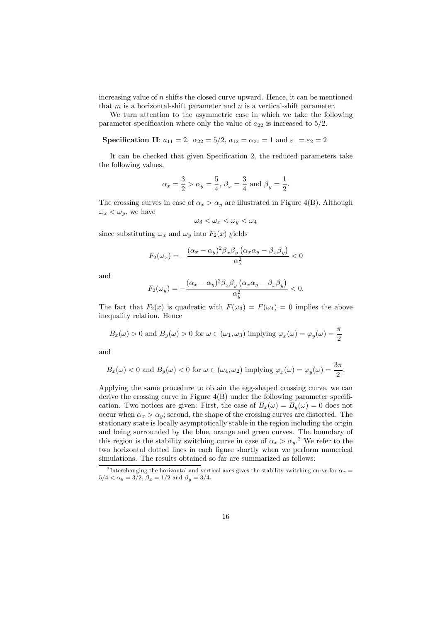increasing value of  $n$  shifts the closed curve upward. Hence, it can be mentioned that  $m$  is a horizontal-shift parameter and  $n$  is a vertical-shift parameter.

We turn attention to the asymmetric case in which we take the following parameter specification where only the value of  $a_{22}$  is increased to  $5/2$ .

**Specification II:**  $a_{11} = 2$ ,  $\alpha_{22} = 5/2$ ,  $a_{12} = \alpha_{21} = 1$  and  $\varepsilon_1 = \varepsilon_2 = 2$ 

It can be checked that given Specification 2, the reduced parameters take the following values,

$$
\alpha_x = \frac{3}{2} > \alpha_y = \frac{5}{4}, \ \beta_x = \frac{3}{4} \text{ and } \beta_y = \frac{1}{2}.
$$

The crossing curves in case of  $\alpha_x > \alpha_y$  are illustrated in Figure 4(B). Although  $\omega_x < \omega_y$ , we have

$$
\omega_3 < \omega_x < \omega_y < \omega_4
$$

since substituting  $\omega_x$  and  $\omega_y$  into  $F_2(x)$  yields

$$
F_2(\omega_x) = -\frac{(\alpha_x - \alpha_y)^2 \beta_x \beta_y (\alpha_x \alpha_y - \beta_x \beta_y)}{\alpha_x^2} < 0
$$

and

$$
F_2(\omega_y) = -\frac{(\alpha_x - \alpha_y)^2 \beta_x \beta_y (\alpha_x \alpha_y - \beta_x \beta_y)}{\alpha_y^2} < 0.
$$

The fact that  $F_2(x)$  is quadratic with  $F(\omega_3) = F(\omega_4) = 0$  implies the above inequality relation. Hence

$$
B_x(\omega) > 0
$$
 and  $B_y(\omega) > 0$  for  $\omega \in (\omega_1, \omega_3)$  implying  $\varphi_x(\omega) = \varphi_y(\omega) = \frac{\pi}{2}$ 

and

$$
B_x(\omega) < 0
$$
 and  $B_y(\omega) < 0$  for  $\omega \in (\omega_4, \omega_2)$  implying  $\varphi_x(\omega) = \varphi_y(\omega) = \frac{3\pi}{2}$ .

Applying the same procedure to obtain the egg-shaped crossing curve, we can derive the crossing curve in Figure 4(B) under the following parameter specification. Two notices are given: First, the case of  $B_x(\omega) = B_y(\omega) = 0$  does not occur when  $\alpha_x > \alpha_y$ ; second, the shape of the crossing curves are distorted. The stationary state is locally asymptotically stable in the region including the origin and being surrounded by the blue, orange and green curves. The boundary of this region is the stability switching curve in case of  $\alpha_x > \alpha_y$ <sup>2</sup>. We refer to the two horizontal dotted lines in each figure shortly when we perform numerical simulations. The results obtained so far are summarized as follows:

<sup>&</sup>lt;sup>2</sup> Interchanging the horizontal and vertical axes gives the stability switching curve for  $\alpha_x =$  $5/4 < \alpha_y = 3/2, \ \beta_x = 1/2 \text{ and } \ \beta_y = 3/4.$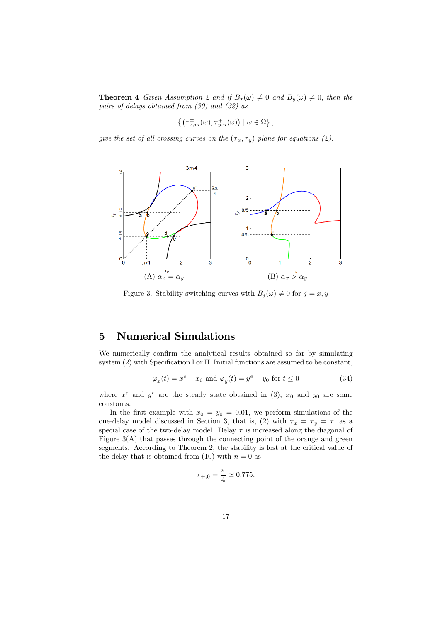**Theorem 4** Given Assumption 2 and if  $B_x(\omega) \neq 0$  and  $B_y(\omega) \neq 0$ , then the pairs of delays obtained from (30) and (32) as

$$
\left\{\left(\tau_{x,m}^{\pm}(\omega),\tau_{y,n}^{\mp}(\omega)\right)\mid\omega\in\Omega\right\},
$$

give the set of all crossing curves on the  $(\tau_x, \tau_y)$  plane for equations (2).



Figure 3. Stability switching curves with  $B_j(\omega) \neq 0$  for  $j = x, y$ 

# 5 Numerical Simulations

We numerically confirm the analytical results obtained so far by simulating system (2) with Specification I or II. Initial functions are assumed to be constant,

$$
\varphi_x(t) = x^e + x_0 \text{ and } \varphi_y(t) = y^e + y_0 \text{ for } t \le 0
$$
\n(34)

where  $x^e$  and  $y^e$  are the steady state obtained in (3),  $x_0$  and  $y_0$  are some constants.

In the first example with  $x_0 = y_0 = 0.01$ , we perform simulations of the one-delay model discussed in Section 3, that is, (2) with  $\tau_x = \tau_y = \tau$ , as a special case of the two-delay model. Delay  $\tau$  is increased along the diagonal of Figure 3(A) that passes through the connecting point of the orange and green segments. According to Theorem 2, the stability is lost at the critical value of the delay that is obtained from (10) with  $n = 0$  as

$$
\tau_{+,0} = \frac{\pi}{4} \simeq 0.775.
$$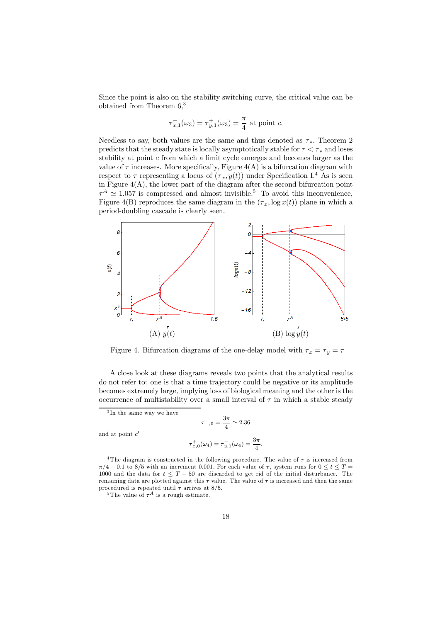Since the point is also on the stability switching curve, the critical value can be obtained from Theorem 6,<sup>3</sup>

$$
\tau_{x,1}^{-}(\omega_3) = \tau_{y,1}^{+}(\omega_3) = \frac{\pi}{4}
$$
 at point c.

Needless to say, both values are the same and thus denoted as  $\tau_*$ . Theorem 2 predicts that the steady state is locally asymptotically stable for  $\tau < \tau_*$  and loses stability at point  $c$  from which a limit cycle emerges and becomes larger as the value of  $\tau$  increases. More specifically, Figure 4(A) is a bifurcation diagram with respect to  $\tau$  representing a locus of  $(\tau_x, y(t))$  under Specification I.<sup>4</sup> As is seen in Figure  $4(A)$ , the lower part of the diagram after the second bifurcation point  $\tau^A \simeq 1.057$  is compressed and almost invisible.<sup>5</sup> To avoid this inconvenience, Figure 4(B) reproduces the same diagram in the  $(\tau_x, \log x(t))$  plane in which a period-doubling cascade is clearly seen.



Figure 4. Bifurcation diagrams of the one-delay model with  $\tau_x = \tau_y = \tau$ 

A close look at these diagrams reveals two points that the analytical results do not refer to: one is that a time trajectory could be negative or its amplitude becomes extremely large, implying loss of biological meaning and the other is the occurrence of multistability over a small interval of  $\tau$  in which a stable steady

$$
\tau_{-,0} = \frac{3\pi}{4} \simeq 2.36
$$
  

$$
\tau_{x,0}^+(\omega_4) = \tau_{y,1}^-(\omega_4) = \frac{3\pi}{4}.
$$

<sup>4</sup>The diagram is constructed in the following procedure. The value of 
$$
\tau
$$
 is increased from  $\pi/4 - 0.1$  to 8/5 with an increment 0.001. For each value of  $\tau$ , system runs for  $0 \le t \le T = 1000$  and the data for  $t \le T - 50$  are discarded to get rid of the initial disturbance. The remaining data are plotted against this  $\tau$  value. The value of  $\tau$  is increased and then the same procedure is repeated until  $\tau$  arrives at 8/5.

<sup>&</sup>lt;sup>3</sup>In the same way we have

and at point  $c'$ 

<sup>&</sup>lt;sup>5</sup>The value of  $\tau^A$  is a rough estimate.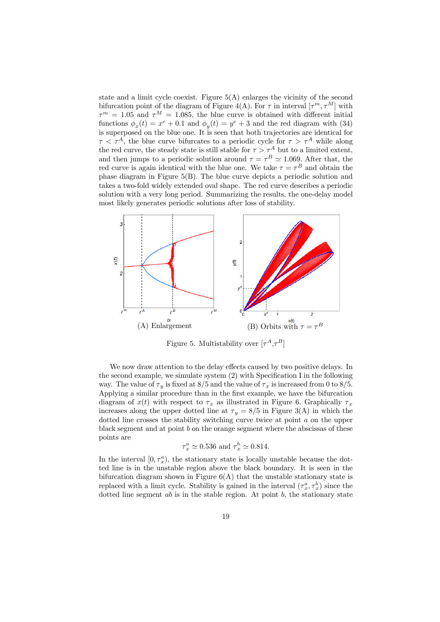state and a limit cycle coexist. Figure  $5(A)$  enlarges the vicinity of the second bifurcation point of the diagram of Figure 4(A). For  $\tau$  in interval  $[\tau^m, \tau^M]$  with  $\tau^m = 1.05$  and  $\tau^M = 1.085$ , the blue curve is obtained with different initial functions  $\phi_x(t) = x^e + 0.1$  and  $\phi_y(t) = y^e + 3$  and the red diagram with (34) is superposed on the blue one. It is seen that both trajectories are identical for  $\tau < \tau^A$ , the blue curve bifurcates to a periodic cycle for  $\tau > \tau^A$  while along the red curve, the steady state is still stable for  $\tau > \tau^A$  but to a limited extent, and then jumps to a periodic solution around  $\tau = \tau^B \simeq 1.069$ . After that, the red curve is again identical with the blue one. We take  $\tau = \tau^B$  and obtain the phase diagram in Figure 5(B). The blue curve depicts a periodic solution and takes a two-fold widely extended oval shape. The red curve describes a periodic solution with a very long period. Summarizing the results, the one-delay model most likely generates periodic solutions after loss of stability.



Figure 5. Multistability over  $[\tau^A, \tau^B]$ 

We now draw attention to the delay effects caused by two positive delays. In the second example, we simulate system (2) with Specification I in the following way. The value of  $\tau_y$  is fixed at 8/5 and the value of  $\tau_x$  is increased from 0 to 8/5. Applying a similar procedure than in the first example, we have the bifurcation diagram of  $x(t)$  with respect to  $\tau_x$  as illustrated in Figure 6. Graphically  $\tau_x$ increases along the upper dotted line at  $\tau_y = 8/5$  in Figure 3(A) in which the dotted line crosses the stability switching curve twice at point a on the upper black segment and at point b on the orange segment where the abscissas of these points are

$$
\tau_x^a \simeq 0.536
$$
 and  $\tau_x^b \simeq 0.814$ .

In the interval  $[0, \tau_x^a)$ , the stationary state is locally unstable because the dotted line is in the unstable region above the black boundary. It is seen in the bifurcation diagram shown in Figure  $6(A)$  that the unstable stationary state is replaced with a limit cycle. Stability is gained in the interval  $(\tau_x^a, \tau_x^b)$  since the dotted line segment  $ab$  is in the stable region. At point  $b$ , the stationary state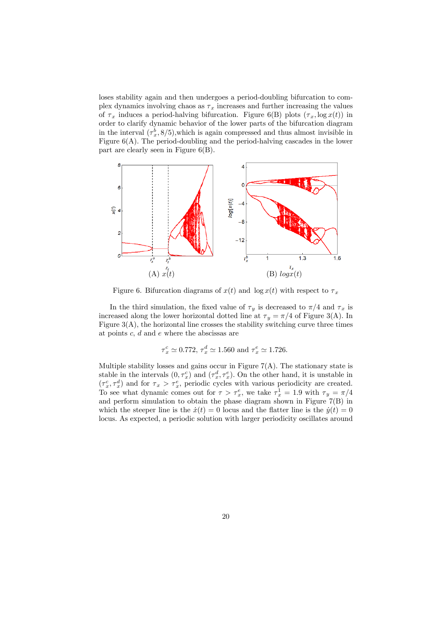loses stability again and then undergoes a period-doubling bifurcation to complex dynamics involving chaos as  $\tau_x$  increases and further increasing the values of  $\tau_x$  induces a period-halving bifurcation. Figure 6(B) plots  $(\tau_x, \log x(t))$  in order to clarify dynamic behavior of the lower parts of the bifurcation diagram in the interval  $(\tau_x^b, \frac{8}{5})$ , which is again compressed and thus almost invisible in Figure 6(A). The period-doubling and the period-halving cascades in the lower part are clearly seen in Figure 6(B).



Figure 6. Bifurcation diagrams of  $x(t)$  and  $\log x(t)$  with respect to  $\tau_x$ 

In the third simulation, the fixed value of  $\tau_y$  is decreased to  $\pi/4$  and  $\tau_x$  is increased along the lower horizontal dotted line at  $\tau_y = \pi/4$  of Figure 3(A). In Figure 3(A), the horizontal line crosses the stability switching curve three times at points c, d and e where the abscissas are

$$
\tau_x^c \simeq 0.772, \tau_x^d \simeq 1.560
$$
 and  $\tau_x^e \simeq 1.726$ .

Multiple stability losses and gains occur in Figure  $7(A)$ . The stationary state is stable in the intervals  $(0, \tau_x^c)$  and  $(\tau_x^d, \tau_x^e)$ . On the other hand, it is unstable in  $(\tau_x^c, \tau_x^d)$  and for  $\tau_x > \tau_x^e$ , periodic cycles with various periodicity are created. To see what dynamic comes out for  $\tau > \tau_x^e$ , we take  $\tau_x^1 = 1.9$  with  $\tau_y = \pi/4$ and perform simulation to obtain the phase diagram shown in Figure 7(B) in which the steeper line is the  $\dot{x}(t)=0$  locus and the flatter line is the  $\dot{y}(t)=0$ locus. As expected, a periodic solution with larger periodicity oscillates around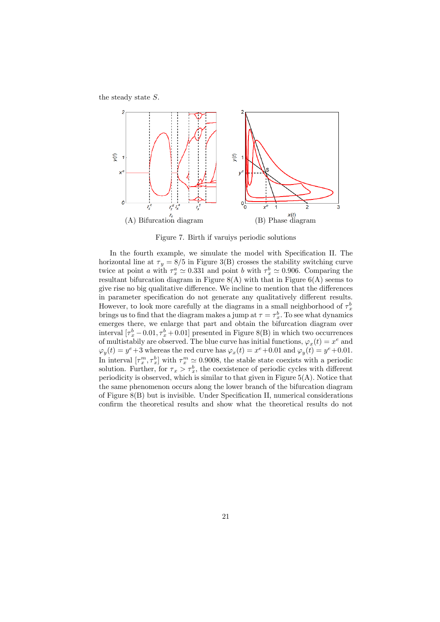the steady state S.



Figure 7. Birth if varuiys periodic solutions

In the fourth example, we simulate the model with Specification II. The horizontal line at  $\tau_y = 8/5$  in Figure 3(B) crosses the stability switching curve twice at point a with  $\tau_x^a \simeq 0.331$  and point b with  $\tau_x^b \simeq 0.906$ . Comparing the resultant bifurcation diagram in Figure  $8(A)$  with that in Figure  $6(A)$  seems to give rise no big qualitative difference. We incline to mention that the differences in parameter specification do not generate any qualitatively different results. However, to look more carefully at the diagrams in a small neighborhood of  $\tau_x^b$ brings us to find that the diagram makes a jump at  $\tau = \tau_x^b$ . To see what dynamics emerges there, we enlarge that part and obtain the bifurcation diagram over interval  $[\tau_x^b - 0.01, \tau_x^b + 0.01]$  presented in Figure 8(B) in which two occurrences of multistabily are observed. The blue curve has initial functions,  $\varphi_x(t) = x^e$  and  $\varphi_y(t) = y^e + 3$  whereas the red curve has  $\varphi_x(t) = x^e + 0.01$  and  $\varphi_y(t) = y^e + 0.01$ . In interval  $[\tau_x^m, \tau_x^b]$  with  $\tau_x^m \simeq 0.9008$ , the stable state coexists with a periodic solution. Further, for  $\tau_x > \tau_x^b$ , the coexistence of periodic cycles with different periodicity is observed, which is similar to that given in Figure 5(A). Notice that the same phenomenon occurs along the lower branch of the bifurcation diagram of Figure 8(B) but is invisible. Under Specification II, numerical considerations confirm the theoretical results and show what the theoretical results do not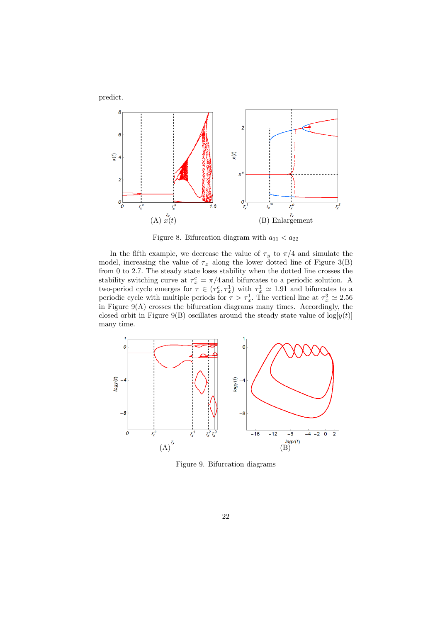



Figure 8. Bifurcation diagram with  $a_{11} < a_{22}$ 

In the fifth example, we decrease the value of  $\tau_y$  to  $\pi/4$  and simulate the model, increasing the value of  $\tau_x$  along the lower dotted line of Figure 3(B) from 0 to 2.7. The steady state loses stability when the dotted line crosses the stability switching curve at  $\tau_x^c = \pi/4$  and bifurcates to a periodic solution. A two-period cycle emerges for  $\tau \in (\tau_x^c, \tau_x^1)$  with  $\tau_x^1 \simeq 1.91$  and bifurcates to a periodic cycle with multiple periods for  $\tau > \tau_x^1$ . The vertical line at  $\tau_x^3 \simeq 2.56$ in Figure 9(A) crosses the bifurcation diagrams many times. Accordingly, the closed orbit in Figure 9(B) oscillates around the steady state value of  $log[y(t)]$ many time.



Figure 9. Bifurcation diagrams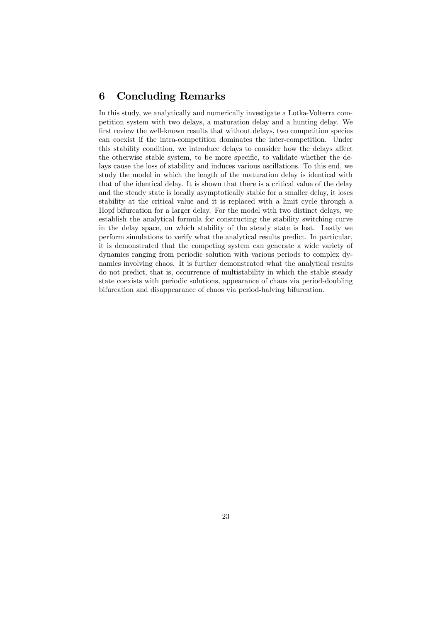## 6 Concluding Remarks

In this study, we analytically and numerically investigate a Lotka-Volterra competition system with two delays, a maturation delay and a hunting delay. We first review the well-known results that without delays, two competition species can coexist if the intra-competition dominates the inter-competition. Under this stability condition, we introduce delays to consider how the delays affect the otherwise stable system, to be more specific, to validate whether the delays cause the loss of stability and induces various oscillations. To this end, we study the model in which the length of the maturation delay is identical with that of the identical delay. It is shown that there is a critical value of the delay and the steady state is locally asymptotically stable for a smaller delay, it loses stability at the critical value and it is replaced with a limit cycle through a Hopf bifurcation for a larger delay. For the model with two distinct delays, we establish the analytical formula for constructing the stability switching curve in the delay space, on which stability of the steady state is lost. Lastly we perform simulations to verify what the analytical results predict. In particular, it is demonstrated that the competing system can generate a wide variety of dynamics ranging from periodic solution with various periods to complex dynamics involving chaos. It is further demonstrated what the analytical results do not predict, that is, occurrence of multistability in which the stable steady state coexists with periodic solutions, appearance of chaos via period-doubling bifurcation and disappearance of chaos via period-halving bifurcation.